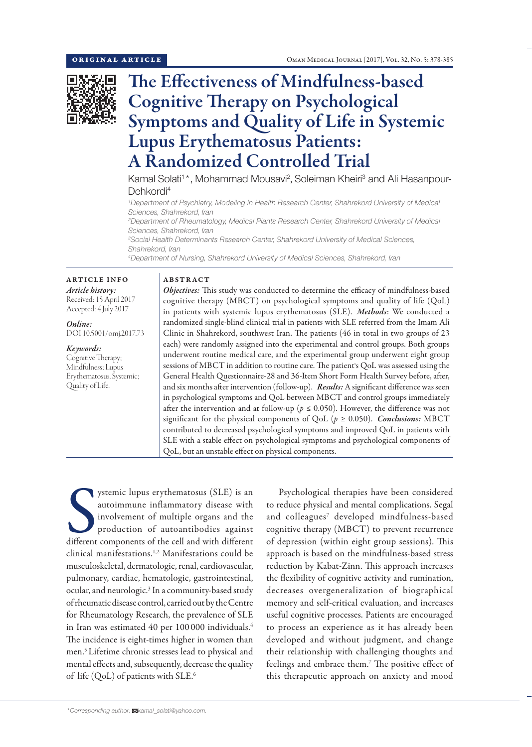

# The Effectiveness of Mindfulness-based Cognitive Therapy on Psychological Symptoms and Quality of Life in Systemic Lupus Erythematosus Patients: A Randomized Controlled Trial

Kamal Solati<sup>1\*</sup>, Mohammad Mousavi<sup>2</sup>, Soleiman Kheiri<sup>3</sup> and Ali Hasanpour-Dehkordi<sup>4</sup>

*1 Department of Psychiatry, Modeling in Health Research Center, Shahrekord University of Medical Sciences, Shahrekord, Iran*

*2 Department of Rheumatology, Medical Plants Research Center, Shahrekord University of Medical Sciences, Shahrekord, Iran*

*3 Social Health Determinants Research Center, Shahrekord University of Medical Sciences, Shahrekord, Iran*

*4 Department of Nursing, Shahrekord University of Medical Sciences, Shahrekord, Iran*

ARTICLE INFO *Article history:* Received: 15 April 2017 Accepted: 4 July 2017

*Online:* DOI 10.5001/omj.2017.73

*Keywords:*  Cognitive Therapy; Mindfulness; Lupus Erythematosus, Systemic; Quality of Life.

## ABSTRACT

*Objectives:* This study was conducted to determine the efficacy of mindfulness-based cognitive therapy (MBCT) on psychological symptoms and quality of life (QoL) in patients with systemic lupus erythematosus (SLE). *Methods*: We conducted a randomized single-blind clinical trial in patients with SLE referred from the Imam Ali Clinic in Shahrekord, southwest Iran. The patients (46 in total in two groups of 23 each) were randomly assigned into the experimental and control groups. Both groups underwent routine medical care, and the experimental group underwent eight group sessions of MBCT in addition to routine care. The patient's QoL was assessed using the General Health Questionnaire-28 and 36-Item Short Form Health Survey before, after, and six months after intervention (follow-up). *Results:*A significant difference was seen in psychological symptoms and QoL between MBCT and control groups immediately after the intervention and at follow-up ( $p \le 0.050$ ). However, the difference was not significant for the physical components of QoL ( $p \ge 0.050$ ). *Conclusions:* MBCT contributed to decreased psychological symptoms and improved QoL in patients with SLE with a stable effect on psychological symptoms and psychological components of QoL, but an unstable effect on physical components.

ystemic lupus erythematosus (SLE) is an autoimmune inflammatory disease with involvement of multiple organs and the production of autoantibodies against different components of the cell and with different ystemic lupus erythematosus (SLE) is an autoimmune inflammatory disease with involvement of multiple organs and the production of autoantibodies against clinical manifestations.1,2 Manifestations could be musculoskeletal, dermatologic, renal, cardiovascular, pulmonary, cardiac, hematologic, gastrointestinal, ocular, and neurologic.<sup>3</sup> In a community-based study of rheumatic disease control, carried out by the Centre for Rheumatology Research, the prevalence of SLE in Iran was estimated 40 per 100 000 individuals.<sup>4</sup> The incidence is eight-times higher in women than men.5 Lifetime chronic stresses lead to physical and mental effects and, subsequently, decrease the quality of life (QoL) of patients with SLE. 6

Psychological therapies have been considered to reduce physical and mental complications. Segal and colleagues<sup>7</sup> developed mindfulness-based cognitive therapy (MBCT) to prevent recurrence of depression (within eight group sessions). This approach is based on the mindfulness-based stress reduction by Kabat-Zinn. This approach increases the flexibility of cognitive activity and rumination, decreases overgeneralization of biographical memory and self-critical evaluation, and increases useful cognitive processes. Patients are encouraged to process an experience as it has already been developed and without judgment, and change their relationship with challenging thoughts and feelings and embrace them.<sup>7</sup> The positive effect of this therapeutic approach on anxiety and mood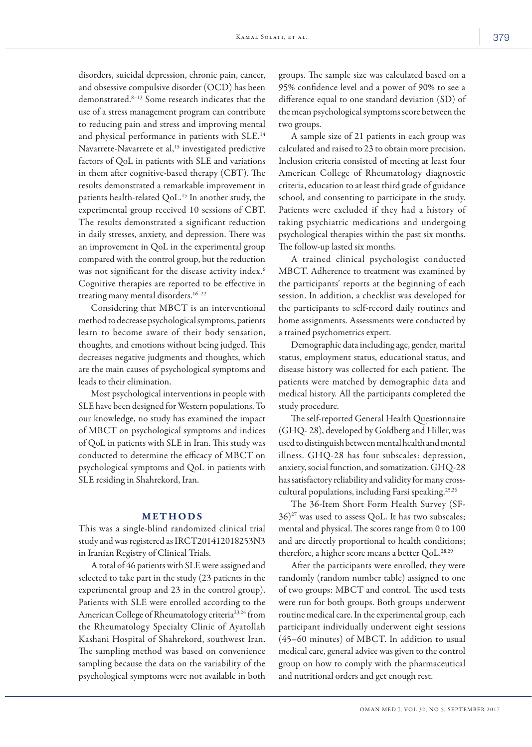disorders, suicidal depression, chronic pain, cancer, and obsessive compulsive disorder (OCD) has been demonstrated.8–13 Some research indicates that the use of a stress management program can contribute to reducing pain and stress and improving mental and physical performance in patients with SLE.<sup>14</sup> Navarrete-Navarrete et al,<sup>15</sup> investigated predictive factors of QoL in patients with SLE and variations in them after cognitive-based therapy (CBT). The results demonstrated a remarkable improvement in patients health-related QoL. 15 In another study, the experimental group received 10 sessions of CBT. The results demonstrated a significant reduction in daily stresses, anxiety, and depression. There was an improvement in QoL in the experimental group compared with the control group, but the reduction was not significant for the disease activity index.<sup>6</sup> Cognitive therapies are reported to be effective in treating many mental disorders.16–22

Considering that MBCT is an interventional method to decrease psychological symptoms, patients learn to become aware of their body sensation, thoughts, and emotions without being judged. This decreases negative judgments and thoughts, which are the main causes of psychological symptoms and leads to their elimination.

Most psychological interventions in people with SLE have been designed for Western populations. To our knowledge, no study has examined the impact of MBCT on psychological symptoms and indices of QoL in patients with SLE in Iran. This study was conducted to determine the efficacy of MBCT on psychological symptoms and QoL in patients with SLE residing in Shahrekord, Iran.

#### METHODS

This was a single-blind randomized clinical trial study and was registered as IRCT201412018253N3 in Iranian Registry of Clinical Trials.

A total of 46 patients with SLE were assigned and selected to take part in the study (23 patients in the experimental group and 23 in the control group). Patients with SLE were enrolled according to the American College of Rheumatology criteria23,24 from the Rheumatology Specialty Clinic of Ayatollah Kashani Hospital of Shahrekord, southwest Iran. The sampling method was based on convenience sampling because the data on the variability of the psychological symptoms were not available in both groups. The sample size was calculated based on a 95% confidence level and a power of 90% to see a difference equal to one standard deviation (SD) of the mean psychological symptoms score between the two groups.

A sample size of 21 patients in each group was calculated and raised to 23 to obtain more precision. Inclusion criteria consisted of meeting at least four American College of Rheumatology diagnostic criteria, education to at least third grade of guidance school, and consenting to participate in the study. Patients were excluded if they had a history of taking psychiatric medications and undergoing psychological therapies within the past six months. The follow-up lasted six months.

A trained clinical psychologist conducted MBCT. Adherence to treatment was examined by the participants' reports at the beginning of each session. In addition, a checklist was developed for the participants to self-record daily routines and home assignments. Assessments were conducted by a trained psychometrics expert.

Demographic data including age, gender, marital status, employment status, educational status, and disease history was collected for each patient. The patients were matched by demographic data and medical history. All the participants completed the study procedure.

The self-reported General Health Questionnaire (GHQ- 28), developed by Goldberg and Hiller, was used to distinguish between mental health and mental illness. GHQ-28 has four subscales: depression, anxiety, social function, and somatization. GHQ-28 has satisfactory reliability and validity for many crosscultural populations, including Farsi speaking.25,26

The 36-Item Short Form Health Survey (SF- $36$ <sup>27</sup> was used to assess QoL. It has two subscales; mental and physical. The scores range from 0 to 100 and are directly proportional to health conditions; therefore, a higher score means a better QoL.<sup>28,29</sup>

After the participants were enrolled, they were randomly (random number table) assigned to one of two groups: MBCT and control. The used tests were run for both groups. Both groups underwent routine medical care. In the experimental group, each participant individually underwent eight sessions (45–60 minutes) of MBCT. In addition to usual medical care, general advice was given to the control group on how to comply with the pharmaceutical and nutritional orders and get enough rest.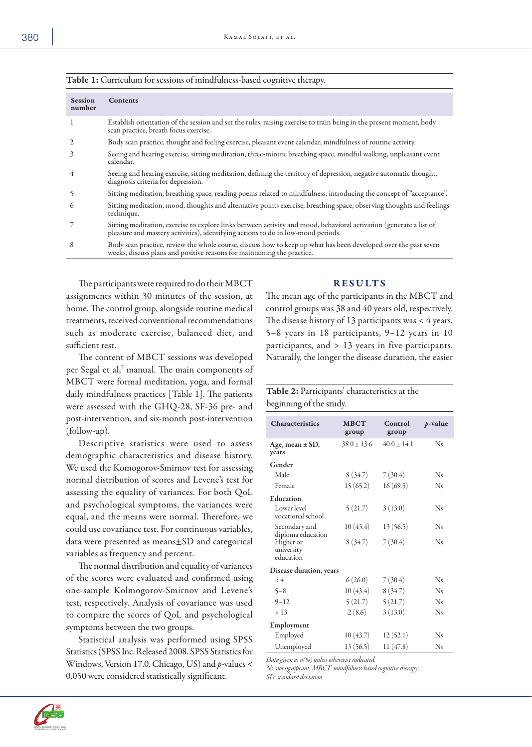| <b>Session</b><br>number | <b>Contents</b>                                                                                                                                                                                        |
|--------------------------|--------------------------------------------------------------------------------------------------------------------------------------------------------------------------------------------------------|
|                          | Establish orientation of the session and set the rules, raising exercise to train being in the present moment, body<br>scan practice, breath focus exercise.                                           |
|                          | Body scan practice, thought and feeling exercise, pleasant event calendar, mindfulness of routine activity.                                                                                            |
| 3                        | Seeing and hearing exercise, sitting meditation, three-minute breathing space, mindful walking, unpleasant event<br>calendar.                                                                          |
| 4                        | Seeing and hearing exercise, sitting meditation, defining the territory of depression, negative automatic thought,<br>diagnosis criteria for depression.                                               |
|                          | Sitting meditation, breathing space, reading poems related to mindfulness, introducing the concept of "acceptance".                                                                                    |
| 6                        | Sitting meditation, mood, thoughts and alternative points exercise, breathing space, observing thoughts and feelings<br>technique.                                                                     |
|                          | Sitting meditation, exercise to explore links between activity and mood, behavioral activation (generate a list of<br>pleasure and mastery activities), identifying actions to do in low-mood periods. |
| 8                        | Body scan practice, review the whole course, discuss how to keep up what has been developed over the past seven<br>weeks, discuss plans and positive reasons for maintaining the practice.             |

| Table 1: Curriculum for sessions of mindfulness-based cognitive therapy. |  |
|--------------------------------------------------------------------------|--|
|--------------------------------------------------------------------------|--|

The participants were required to do their MBCT assignments within 30 minutes of the session, at home. The control group, alongside routine medical treatments, received conventional recommendations such as moderate exercise, balanced diet, and sufficient rest.

The content of MBCT sessions was developed per Segal et al,<sup>7</sup> manual. The main components of MBCT were formal meditation, yoga, and formal daily mindfulness practices [Table 1]. The patients were assessed with the GHQ-28, SF-36 pre- and post-intervention, and six-month post-intervention (follow-up).

Descriptive statistics were used to assess demographic characteristics and disease history. We used the Komogorov-Smirnov test for assessing normal distribution of scores and Levene's test for assessing the equality of variances. For both QoL and psychological symptoms, the variances were equal, and the means were normal. Therefore, we could use covariance test. For continuous variables, data were presented as means±SD and categorical variables as frequency and percent.

The normal distribution and equality of variances of the scores were evaluated and confirmed using one-sample Kolmogorov-Smirnov and Levene's test, respectively. Analysis of covariance was used to compare the scores of QoL and psychological symptoms between the two groups.

Statistical analysis was performed using SPSS Statistics (SPSS Inc. Released 2008. SPSS Statistics for Windows, Version 17.0. Chicago, US) and *p*-values < 0.050 were considered statistically significant.

### RESULTS

The mean age of the participants in the MBCT and control groups was 38 and 40 years old, respectively. The disease history of 13 participants was  $\lt$  4 years, 5–8 years in 18 participants, 9–12 years in 10 participants, and > 13 years in five participants. Naturally, the longer the disease duration, the easier

# Table 2: Participants' characteristics at the beginning of the study.

| <b>Characteristics</b>               | <b>MBCT</b><br>group | Control<br>group | $p$ -value     |
|--------------------------------------|----------------------|------------------|----------------|
| Age, mean $\pm$ SD,<br>years         | $38.0 + 13.6$        | $40.0 + 14.1$    | N <sub>s</sub> |
| Gender                               |                      |                  |                |
| Male                                 | 8(34.7)              | 7(30.4)          | N <sub>s</sub> |
| Female                               | 15(65.2)             | 16(69.5)         | <b>Ns</b>      |
| Education                            |                      |                  |                |
| Lower level<br>vocational school     | 5(21.7)              | 3(13.0)          | N <sub>s</sub> |
| Secondary and<br>diploma education   | 10(43.4)             | 13(56.5)         | N <sub>s</sub> |
| Higher or<br>university<br>education | 8(34.7)              | 7(30.4)          | N <sub>s</sub> |
| <b>Disease duration, years</b>       |                      |                  |                |
| $\epsilon$ 4                         | 6(26.0)              | 7(30.4)          | N <sub>s</sub> |
| $5 - 8$                              | 10(43.4)             | 8(34.7)          | N <sub>s</sub> |
| $9 - 12$                             | 5(21.7)              | 5(21.7)          | N <sub>s</sub> |
| > 13                                 | 2(8.6)               | 3(13.0)          | N <sub>s</sub> |
| Employment                           |                      |                  |                |
| Employed                             | 10(43.7)             | 12(52.1)         | N <sub>s</sub> |
| Unemployed                           | 13(56.5)             | 11(47.8)         | N <sub>s</sub> |

*Data given as n(%) unless otherwise indicated.* 

*Ns: not significant; MBCT: mindfulness-based cognitive therapy; SD: standard deviation.*

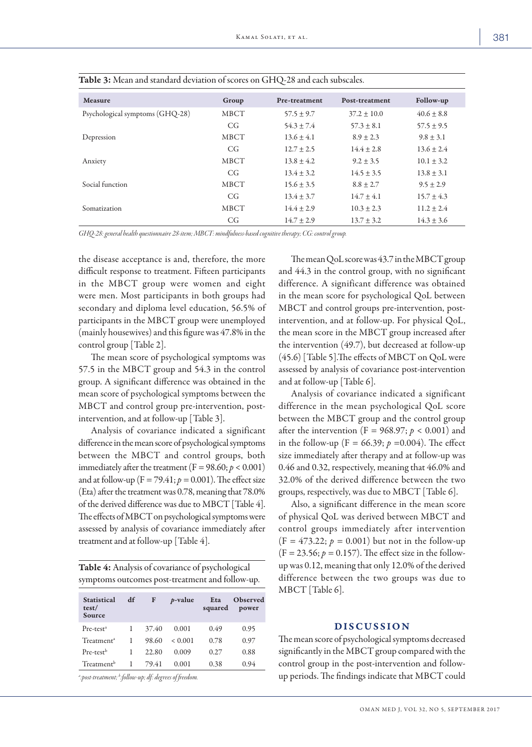| <b>Measure</b>                  | Group       | Pre-treatment  | Post-treatment  | Follow-up      |
|---------------------------------|-------------|----------------|-----------------|----------------|
| Psychological symptoms (GHQ-28) | <b>MBCT</b> | $57.5 \pm 9.7$ | $37.2 \pm 10.0$ | $40.6 \pm 8.8$ |
|                                 | CG          | $54.3 \pm 7.4$ | $57.3 \pm 8.1$  | $57.5 \pm 9.5$ |
| Depression                      | <b>MBCT</b> | $13.6 \pm 4.1$ | $8.9 \pm 2.3$   | $9.8 \pm 3.1$  |
|                                 | CG          | $12.7 + 2.5$   | $14.4 \pm 2.8$  | $13.6 \pm 2.4$ |
| Anxiety                         | <b>MBCT</b> | $13.8 \pm 4.2$ | $9.2 \pm 3.5$   | $10.1 \pm 3.2$ |
|                                 | CG          | $13.4 \pm 3.2$ | $14.5 \pm 3.5$  | $13.8 \pm 3.1$ |
| Social function                 | <b>MBCT</b> | $15.6 \pm 3.5$ | $8.8 \pm 2.7$   | $9.5 \pm 2.9$  |
|                                 | CG          | $13.4 \pm 3.7$ | $14.7 \pm 4.1$  | $15.7 \pm 4.3$ |
| Somatization                    | <b>MBCT</b> | $14.4 \pm 2.9$ | $10.3 \pm 2.3$  | $11.2 \pm 2.4$ |
|                                 | CG          | $14.7 + 2.9$   | $13.7 \pm 3.2$  | $14.3 \pm 3.6$ |

| Table 3: Mean and standard deviation of scores on GHQ-28 and each subscales. |  |
|------------------------------------------------------------------------------|--|
|------------------------------------------------------------------------------|--|

*GHQ-28: general health questionnaire 28-item; MBCT: mindfulness-based cognitive therapy; CG: control group.*

the disease acceptance is and, therefore, the more difficult response to treatment. Fifteen participants in the MBCT group were women and eight were men. Most participants in both groups had secondary and diploma level education, 56.5% of participants in the MBCT group were unemployed (mainly housewives) and this figure was 47.8% in the control group [Table 2].

The mean score of psychological symptoms was 57.5 in the MBCT group and 54.3 in the control group. A significant difference was obtained in the mean score of psychological symptoms between the MBCT and control group pre-intervention, postintervention, and at follow-up [Table 3].

Analysis of covariance indicated a significant difference in the mean score of psychological symptoms between the MBCT and control groups, both immediately after the treatment  $(F = 98.60; p < 0.001)$ and at follow-up ( $F = 79.41$ ;  $p = 0.001$ ). The effect size (Eta) after the treatment was 0.78, meaning that 78.0% of the derived difference was due to MBCT [Table 4]. The effects of MBCT on psychological symptoms were assessed by analysis of covariance immediately after treatment and at follow-up [Table 4].

| Table 4: Analysis of covariance of psychological |  |
|--------------------------------------------------|--|
| symptoms outcomes post-treatment and follow-up.  |  |

| <b>Statistical</b><br>test/<br>Source | df | F     | $p$ -value | Eta<br>squared | Observed<br>power |
|---------------------------------------|----|-------|------------|----------------|-------------------|
| Pre-test <sup>a</sup>                 |    | 37.40 | 0.001      | 0.49           | 0.95              |
| Treatment <sup>a</sup>                |    | 98.60 | < 0.001    | 0.78           | 0.97              |
| Pre-test <sup>b</sup>                 |    | 22.80 | 0.009      | 0.27           | 0.88              |
| Treatment <sup>b</sup>                |    | 79.41 | 0.001      | 0.38           | 0.94              |

*a :post-treatment; b :follow-up; df: degrees of freedom.*

The mean QoL score was 43.7 in the MBCT group and 44.3 in the control group, with no significant difference. A significant difference was obtained in the mean score for psychological QoL between MBCT and control groups pre-intervention, postintervention, and at follow-up. For physical QoL, the mean score in the MBCT group increased after the intervention (49.7), but decreased at follow-up (45.6) [Table 5].The effects of MBCT on QoL were assessed by analysis of covariance post-intervention and at follow-up [Table 6].

Analysis of covariance indicated a significant difference in the mean psychological QoL score between the MBCT group and the control group after the intervention (F = 968.97;  $p < 0.001$ ) and in the follow-up (F = 66.39;  $p = 0.004$ ). The effect size immediately after therapy and at follow-up was 0.46 and 0.32, respectively, meaning that 46.0% and 32.0% of the derived difference between the two groups, respectively, was due to MBCT [Table 6].

Also, a significant difference in the mean score of physical QoL was derived between MBCT and control groups immediately after intervention  $(F = 473.22; p = 0.001)$  but not in the follow-up  $(F = 23.56; p = 0.157)$ . The effect size in the followup was 0.12, meaning that only 12.0% of the derived difference between the two groups was due to MBCT [Table 6].

# DISCUSSION

The mean score of psychological symptoms decreased significantly in the MBCT group compared with the control group in the post-intervention and followup periods. The findings indicate that MBCT could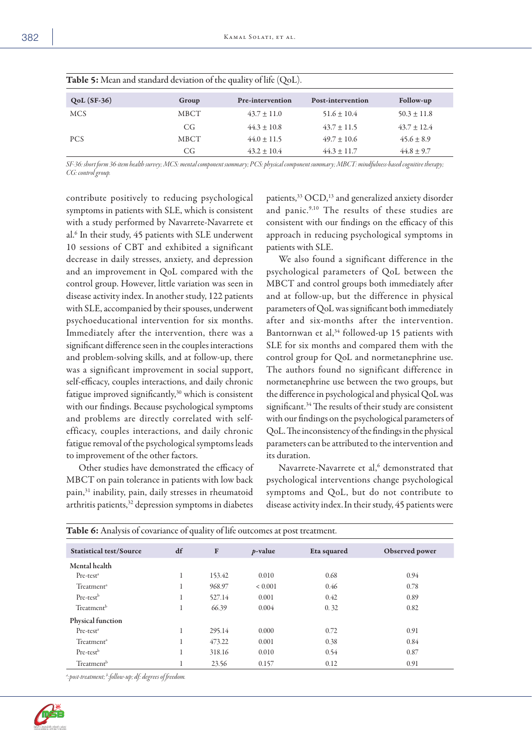| <b>Table 5:</b> Mean and standard deviation of the quality of life $(QoL)$ . |       |                  |                   |                 |  |
|------------------------------------------------------------------------------|-------|------------------|-------------------|-----------------|--|
| $QoL(SF-36)$                                                                 | Group | Pre-intervention | Post-intervention | Follow-up       |  |
| <b>MCS</b>                                                                   | MBCT  | $43.7 \pm 11.0$  | $51.6 \pm 10.4$   | $50.3 \pm 11.8$ |  |
|                                                                              | CG    | $44.3 \pm 10.8$  | $43.7 \pm 11.5$   | $43.7 \pm 12.4$ |  |
| <b>PCS</b>                                                                   | MBCT  | $44.0 \pm 11.5$  | $49.7 \pm 10.6$   | $45.6 \pm 8.9$  |  |
|                                                                              | CG    | $43.2 \pm 10.4$  | $44.3 \pm 11.7$   | $44.8 \pm 9.7$  |  |

*SF-36: short form 36-item health survey; MCS: mental component summary; PCS: physical component summary; MBCT: mindfulness-based cognitive therapy; CG: control group.*

contribute positively to reducing psychological symptoms in patients with SLE, which is consistent with a study performed by Navarrete-Navarrete et al.6 In their study, 45 patients with SLE underwent 10 sessions of CBT and exhibited a significant decrease in daily stresses, anxiety, and depression and an improvement in QoL compared with the control group. However, little variation was seen in disease activity index. In another study, 122 patients with SLE, accompanied by their spouses, underwent psychoeducational intervention for six months. Immediately after the intervention, there was a significant difference seen in the couples interactions and problem-solving skills, and at follow-up, there was a significant improvement in social support, self-efficacy, couples interactions, and daily chronic fatigue improved significantly,<sup>30</sup> which is consistent with our findings. Because psychological symptoms and problems are directly correlated with selfefficacy, couples interactions, and daily chronic fatigue removal of the psychological symptoms leads to improvement of the other factors.

Other studies have demonstrated the efficacy of MBCT on pain tolerance in patients with low back pain,31 inability, pain, daily stresses in rheumatoid arthritis patients,<sup>32</sup> depression symptoms in diabetes

patients,<sup>33</sup> OCD,<sup>13</sup> and generalized anxiety disorder and panic.<sup>9,10</sup> The results of these studies are consistent with our findings on the efficacy of this approach in reducing psychological symptoms in patients with SLE.

We also found a significant difference in the psychological parameters of QoL between the MBCT and control groups both immediately after and at follow-up, but the difference in physical parameters of QoL was significant both immediately after and six-months after the intervention. Bantornwan et al,<sup>34</sup> followed-up 15 patients with SLE for six months and compared them with the control group for QoL and normetanephrine use. The authors found no significant difference in normetanephrine use between the two groups, but the difference in psychological and physical QoL was significant.<sup>34</sup> The results of their study are consistent with our findings on the psychological parameters of QoL. The inconsistency of the findings in the physical parameters can be attributed to the intervention and its duration.

Navarrete-Navarrete et al,<sup>6</sup> demonstrated that psychological interventions change psychological symptoms and QoL, but do not contribute to disease activity index.In their study, 45 patients were

| Table 6: Analysis of covariance of quality of life outcomes at post treatment. |    |        |             |             |                |
|--------------------------------------------------------------------------------|----|--------|-------------|-------------|----------------|
| <b>Statistical test/Source</b>                                                 | df | F      | $p$ -value  | Eta squared | Observed power |
| Mental health                                                                  |    |        |             |             |                |
| $Pre-testa$                                                                    | 1  | 153.42 | 0.010       | 0.68        | 0.94           |
| Treatment <sup>a</sup>                                                         | Τ. | 968.97 | ${}< 0.001$ | 0.46        | 0.78           |
| Pre-test <sup>b</sup>                                                          | 1  | 527.14 | 0.001       | 0.42        | 0.89           |
| Treatment <sup>b</sup>                                                         | 1  | 66.39  | 0.004       | 0.32        | 0.82           |
| Physical function                                                              |    |        |             |             |                |
| $Pre-testa$                                                                    | 1  | 295.14 | 0.000       | 0.72        | 0.91           |
| Treatment <sup>a</sup>                                                         |    | 473.22 | 0.001       | 0.38        | 0.84           |
| Pre-test <sup>b</sup>                                                          | 1  | 318.16 | 0.010       | 0.54        | 0.87           |
| Treatment <sup>b</sup>                                                         |    | 23.56  | 0.157       | 0.12        | 0.91           |

*a :post-treatment; b :follow-up; df: degrees of freedom.*

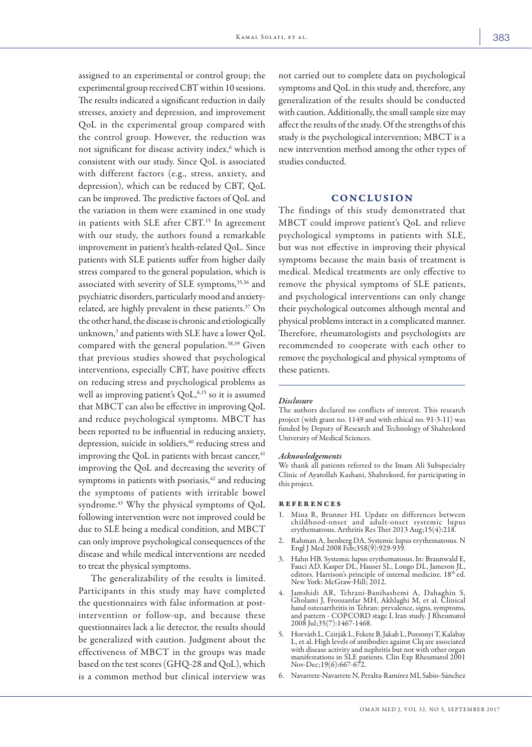assigned to an experimental or control group; the experimental group received CBT within 10 sessions. The results indicated a significant reduction in daily stresses, anxiety and depression, and improvement QoL in the experimental group compared with the control group. However, the reduction was not significant for disease activity index,<sup>6</sup> which is consistent with our study. Since QoL is associated with different factors (e.g., stress, anxiety, and depression), which can be reduced by CBT, QoL can be improved. The predictive factors of QoL and the variation in them were examined in one study in patients with SLE after CBT. 15 In agreement with our study, the authors found a remarkable improvement in patient's health-related QoL. Since patients with SLE patients suffer from higher daily stress compared to the general population, which is associated with severity of SLE symptoms,<sup>35,36</sup> and psychiatric disorders, particularly mood and anxietyrelated, are highly prevalent in these patients.<sup>37</sup> On the other hand, the disease is chronic and etiologically unknown,<sup>3</sup> and patients with SLE have a lower QoL compared with the general population.38,39 Given that previous studies showed that psychological interventions, especially CBT, have positive effects on reducing stress and psychological problems as well as improving patient's QoL, 6,15 so it is assumed that MBCT can also be effective in improving QoL and reduce psychological symptoms. MBCT has been reported to be influential in reducing anxiety, depression, suicide in soldiers, <sup>40</sup> reducing stress and improving the QoL in patients with breast cancer, $41$ improving the QoL and decreasing the severity of symptoms in patients with psoriasis, $42$  and reducing the symptoms of patients with irritable bowel syndrome.<sup>43</sup> Why the physical symptoms of QoL following intervention were not improved could be due to SLE being a medical condition, and MBCT can only improve psychological consequences of the disease and while medical interventions are needed to treat the physical symptoms.

The generalizability of the results is limited. Participants in this study may have completed the questionnaires with false information at postintervention or follow-up, and because these questionnaires lack a lie detector, the results should be generalized with caution. Judgment about the effectiveness of MBCT in the groups was made based on the test scores (GHQ-28 and QoL), which is a common method but clinical interview was not carried out to complete data on psychological symptoms and QoL in this study and, therefore, any generalization of the results should be conducted with caution. Additionally, the small sample size may affect the results of the study. Of the strengths of this study is the psychological intervention; MBCT is a new intervention method among the other types of studies conducted.

### CONCLUSION

The findings of this study demonstrated that MBCT could improve patient's QoL and relieve psychological symptoms in patients with SLE, but was not effective in improving their physical symptoms because the main basis of treatment is medical. Medical treatments are only effective to remove the physical symptoms of SLE patients, and psychological interventions can only change their psychological outcomes although mental and physical problems interact in a complicated manner. Therefore, rheumatologists and psychologists are recommended to cooperate with each other to remove the psychological and physical symptoms of these patients.

#### *Disclosure*

The authors declared no conflicts of interest. This research project (with grant no. 1149 and with ethical no. 91-3-11) was funded by Deputy of Research and Technology of Shahrekord University of Medical Sciences.

#### *Acknowledgements*

We thank all patients referred to the Imam Ali Subspecialty Clinic of Ayatollah Kashani, Shahrekord, for participating in this project.

#### references

- 1. Mina R, Brunner HI. Update on differences between childhood-onset and adult-onset systemic lupus erythematosus. Arthritis Res Ther 2013 Aug;15(4):218.
- 2. Rahman A, Isenberg DA. Systemic lupus erythematosus. N Engl J Med 2008 Feb;358(9):929-939.
- 3. Hahn HB. Systemic lupus erythematosus. In: Braunwald E, Fauci AD, Kasper DL, Hauser SL, Longo DL, Jameson JL, editors. Harrison's principle of internal medicine. 18th ed. New York: McGraw-Hill; 2012.
- 4. Jamshidi AR, Tehrani-Banihashemi A, Dahaghin S, Gholami J, Froozanfar MH, Akhlaghi M, et al. Clinical hand osteoarthritis in Tehran: prevalence, signs, symptoms, and pattern - COPCORD stage I, Iran study. J Rheumatol 2008 Jul;35(7):1467-1468.
- 5. Horváth L, Czirják L, Fekete B, Jakab L, Pozsonyi T, Kalabay L, et al. High levels of antibodies against Clq are associated with disease activity and nephritis but not with other organ manifestations in SLE patients. Clin Exp Rheumatol 2001 Nov-Dec;19(6):667-672.
- 6. Navarrete-Navarrete N, Peralta-Ramírez MI, Sabio-Sánchez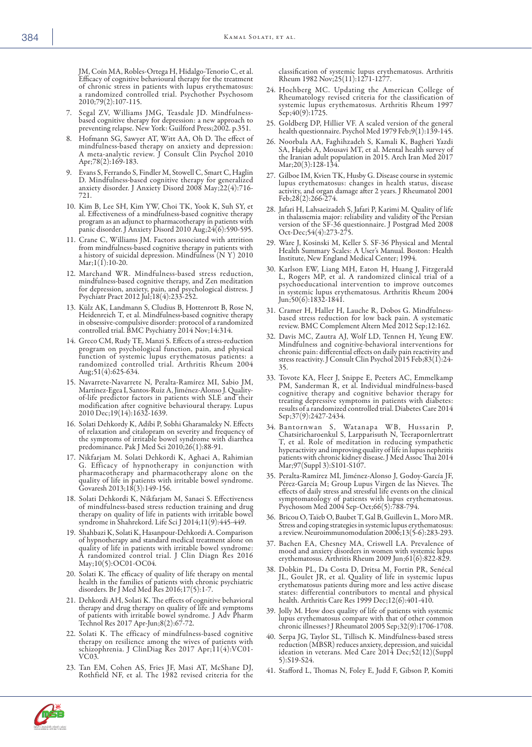JM, Coín MA, Robles-Ortega H, Hidalgo-Tenorio C, et al. Efficacy of cognitive behavioural therapy for the treatment of chronic stress in patients with lupus erythematosus: a randomized controlled trial. Psychother Psychosom 2010;79(2):107-115.

- 7. Segal ZV, Williams JMG, Teasdale JD. Mindfulnessbased cognitive therapy for depression: a new approach to preventing relapse. New York: Guilford Press;2002. p.351.
- 8. Hofmann SG, Sawyer AT, Witt AA, Oh D. The effect of mindfulness-based therapy on anxiety and depression: A meta-analytic review. J Consult Clin Psychol 2010 Apr;78(2):169-183.
- 9. Evans S, Ferrando S, Findler M, Stowell C, Smart C, Haglin D. Mindfulness-based cognitive therapy for generalized anxiety disorder. J Anxiety Disord 2008 May;22(4):716- 721.
- 10. Kim B, Lee SH, Kim YW, Choi TK, Yook K, Suh SY, et program as an adjunct to pharmacotherapy in patients with panic disorder. J Anxiety Disord 2010 Aug;24(6):590-595.
- 11. Crane C, Williams JM. Factors associated with attrition from mindfulness-based cognitive therapy in patients with a history of suicidal depression. Mindfulness (N Y) 2010  $Mar; 1(1): 10-20.$
- 12. Marchand WR. Mindfulness-based stress reduction, mindfulness-based cognitive therapy, and Zen meditation for depression, anxiety, pain, and psychological distress. J Psychiatr Pract 2012 Jul;18(4):233-252.
- 13. Külz AK, Landmann S, Cludius B, Hottenrott B, Rose N, Heidenreich T, et al. Mindfulness-based cognitive therapy in obsessive-compulsive disorder: protocol of a randomized controlled trial. BMC Psychiatry 2014 Nov;14:314.
- 14. Greco CM, Rudy TE, Manzi S. Effects of a stress-reduction program on psychological function, pain, and physical function of systemic lupus erythematosus patients: a randomized controlled trial. Arthritis Rheum 2004 Aug;51(4):625-634.
- 15. Navarrete-Navarrete N, Peralta-Ramírez MI, Sabio JM, Martínez-Egea I, Santos-Ruiz A, Jiménez-Alonso J. Quality- of-life predictor factors in patients with SLE and their modification after cognitive behavioural therapy. Lupus 2010 Dec;19(14):1632-1639.
- 16. Solati Dehkordy K, Adibi P, Sobhi Gharamaleky N. Effects of relaxation and citalopram on severity and frequency of the symptoms of irritable bowel syndrome with diarrhea predominance. Pak J Med Sci 2010;26(1):88-91.
- 17. Nikfarjam M. Solati Dehkordi K, Aghaei A, Rahimian pharmacotherapy and pharmacotherapy alone on the quality of life in patients with irritable bowel syndrome. Govaresh 2013;18(3):149-156.
- 18. Solati Dehkordi K, Nikfarjam M, Sanaei S. Effectiveness of mindfulness-based stress reduction training and drug therapy on quality of life in patients with irritable bowel syndrome in Shahrekord. Life Sci J 2014;11(9):445-449.
- 19. Shahbazi K, Solati K, Hasanpour-Dehkordi A. Comparison of hypnotherapy and standard medical treatment alone on quality of life in patients with irritable bowel syndrome: A randomized control trial. J Clin Diagn Res 2016 May;10(5):OC01-OC04.
- 20. Solati K. The efficacy of quality of life therapy on mental health in the families of patients with chronic psychiatric disorders. Br J Med Med Res 2016;17(5):1-7.
- 21. Dehkordi AH, Solati K. The effects of cognitive behavioral therapy and drug therapy on quality of life and symptoms of patients with irritable bowel syndrome. J Adv Pharm Technol Res 2017 Apr-Jun;8(2):67-72.
- 22. Solati K. The efficacy of mindfulness-based cognitive therapy on resilience among the wives of patients with schizophrenia. J ClinDiag Res 2017 Apr;11(4):VC01-V<sub>C</sub>03
- 23. Tan EM, Cohen AS, Fries JF, Masi AT, McShane DJ, Rothfield NF, et al. The 1982 revised criteria for the

classification of systemic lupus erythematosus. Arthritis Rheum 1982 Nov;25(11):1271-1277.

- 24. Hochberg MC. Updating the American College of Rheumatology revised criteria for the classification of systemic lupus erythematosus. Arthritis Rheum 1997 Sep;40(9):1725.
- 25. Goldberg DP, Hillier VF. A scaled version of the general health questionnaire. Psychol Med 1979 Feb;9(1):139-145.
- 26. Noorbala AA, Faghihzadeh S, Kamali K, Bagheri Yazdi SA, Hajebi A, Mousavi MT, et al. Mental health survey of the Iranian adult population in 2015. Arch Iran Med 2017 Mar; 20(3): 128-134.
- 27. Gilboe IM, Kvien TK, Husby G. Disease course in systemic lupus erythematosus: changes in health status, disease activity, and organ damage after 2 years. J Rheumatol 2001 Feb;28(2):266-274.
- 28. Jafari H, Lahsaeizadeh S, Jafari P, Karimi M. Quality of life in thalassemia major: reliability and validity of the Persian version of the SF-36 questionnaire. J Postgrad Med 2008 Oct-Dec;54(4):273-275.
- 29. Ware J, Kosinski M, Keller S. SF-36 Physical and Mental Health Summary Scales: A User's Manual. Boston: Health Institute, New England Medical Center; 1994.
- 30. Karlson EW, Liang MH, Eaton H, Huang J, Fitzgerald L, Rogers MP, et al. A randomized clinical trial of a psychoeducational intervention to improve outcomes in systemic lupus erythematosus. Arthritis Rheum 2004 Jun;50(6):1832-1841.
- 31. Cramer H, Haller H, Lauche R, Dobos G. Mindfulnessbased stress reduction for low back pain. A systematic review. BMC Complement Altern Med 2012 Sep;12:162.
- 32. Davis MC, Zautra AJ, Wolf LD, Tennen H, Yeung EW. Mindfulness and cognitive-behavioral interventions for chronic pain: differential effects on daily pain reactivity and stress reactivity. J Consult Clin Psychol 2015 Feb;83(1):24- 35.
- 33. Tovote KA, Fleer J, Snippe E, Peeters AC, Emmelkamp PM, Sanderman R, et al. Individual mindfulness-based cognitive therapy and cognitive behavior therapy for treating depressive symptoms in patients with diabetes: results of a randomized controlled trial. Diabetes Care 2014 Sep;37(9):2427-2434.
- 34. Bantornwan S, Watanapa WB, Hussarin P, Chatsiricharoenkul S, Larpparisuth N, Teerapornlertratt T, et al. Role of meditation in reducing sympathetic hyperactivity and improving quality of life in lupus nephritis patients with chronic kidney disease. J Med Assoc Thai 2014 Mar;97(Suppl 3):S101-S107.
- 35. Peralta-Ramírez MI, Jiménez-Alonso J, Godoy-García JF, Pérez-García M; Group Lupus Virgen de las Nieves. The effects of daily stress and stressful life events on the clinical symptomatology of patients with lupus erythematosus. Psychosom Med 2004 Sep-Oct;66(5):788-794.
- 36. Bricou O, Taïeb O, Baubet T, Gal B, Guillevin L, Moro MR. Stress and coping strategies in systemic lupus erythematosus: a review. Neuroimmunomodulation 2006;13(5-6):283-293.
- 37. Bachen EA, Chesney MA, Criswell LA. Prevalence of mood and anxiety disorders in women with systemic lupus erythematosus. Arthritis Rheum 2009 Jun;61(6):822-829.
- 38. Dobkin PL, Da Costa D, Dritsa M, Fortin PR, Senécal erythematosus patients during more and less active disease states: differential contributors to mental and physical health. Arthritis Care Res 1999 Dec;12(6):401-410.
- 39. Jolly M. How does quality of life of patients with systemic lupus erythematosus compare with that of other common chronic illnesses? J Rheumatol 2005 Sep;32(9):1706-1708.
- 40. Serpa JG, Taylor SL, Tillisch K. Mindfulness-based stress reduction (MBSR) reduces anxiety, depression, and suicidal ideation in veterans. Med Care 2014 Dec;52(12)(Suppl 5):S19-S24.
- 41. Stafford L, Thomas N, Foley E, Judd F, Gibson P, Komiti